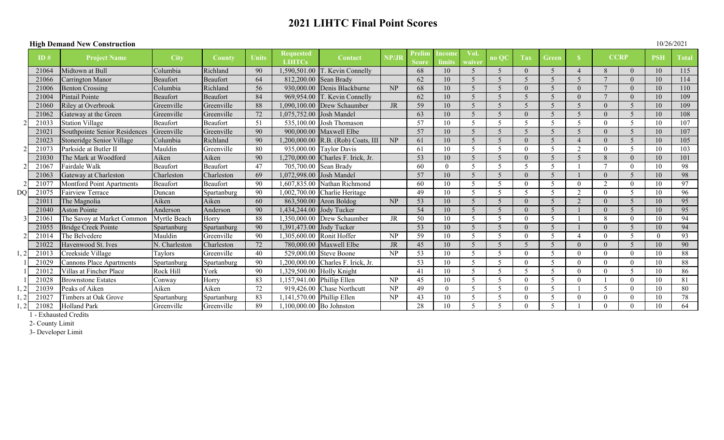# **2021 LIHTC Final Point Scores**

#### **High Demand New Construction**

| 10/26/2021 |  |
|------------|--|
|------------|--|

| ппен встани туси Сонзи испон |       |                                 |               |               |       |                                   |                                    |                        |                               |                        | 1 V L V L V L J |      |                          |                          |          |             |                          |            |              |
|------------------------------|-------|---------------------------------|---------------|---------------|-------|-----------------------------------|------------------------------------|------------------------|-------------------------------|------------------------|-----------------|------|--------------------------|--------------------------|----------|-------------|--------------------------|------------|--------------|
|                              | ID#   | <b>Project Name</b>             | <b>City</b>   | <b>County</b> | Units | <b>Requested</b><br><b>LIHTCs</b> | <b>Contact</b>                     | NP/JR                  | <b>Prelim</b><br><b>Score</b> | Incom<br><b>limits</b> | Vol.<br>waiver  | no O | Tax                      | <b>Green</b>             |          | <b>CCRP</b> |                          | <b>PSH</b> | <b>Total</b> |
|                              | 21064 | Midtown at Bull                 | Columbia      | Richland      | 90    |                                   | 1,590,501.00 T. Kevin Connelly     |                        | 68                            | 10                     |                 |      |                          |                          |          |             |                          | 10         | 115          |
|                              | 21066 | Carrington Manor                | Beaufort      | Beaufort      | 64    |                                   | 812,200.00 Sean Brady              |                        | 62                            | 10                     |                 |      | 5                        | $\overline{\mathcal{L}}$ |          |             |                          | 10         | 114          |
|                              | 21006 | <b>Benton Crossing</b>          | Columbia      | Richland      | 56    |                                   | 930,000.00 Denis Blackburne        | NP                     | 68                            | 10                     |                 |      |                          |                          | $\Omega$ |             |                          | 10         | 110          |
|                              | 21004 | Pintail Pointe                  | Beaufort      | Beaufort      | 84    |                                   | 969,954.00 T. Kevin Connelly       |                        | 62                            | 10                     |                 |      |                          |                          | $\Omega$ |             |                          | 10         | 109          |
|                              | 21060 | <b>Riley at Overbrook</b>       | Greenville    | Greenville    | 88    |                                   | 1.090.100.00 Drew Schaumber        | <b>JR</b>              | 59                            | 10                     | $\varsigma$     |      |                          |                          |          |             | $\overline{\mathcal{L}}$ | 10         | 109          |
|                              | 21062 | Gateway at the Green            | Greenville    | Greenville    | 72    | 1,075,752.00                      | Josh Mandel                        |                        | 63                            | 10                     |                 |      |                          |                          |          |             | $\overline{\mathcal{L}}$ | 10         | 108          |
|                              | 21033 | <b>Station Village</b>          | Beaufort      | Beaufort      | 51    |                                   | $535.100.00$ Josh Thomason         |                        | 57                            | 10                     | 5               |      | 5                        |                          |          | $\theta$    | $\sim$                   | 10         | 107          |
|                              | 21021 | Southpointe Senior Residences   | Greenville    | Greenville    | 90    |                                   | 900,000.00 Maxwell Elbe            |                        | 57                            | 10                     |                 |      |                          |                          |          |             |                          | 10         | 107          |
|                              | 21023 | Stoneridge Senior Village       | Columbia      | Richland      | 90    |                                   | 1,200,000.00 R.B. (Rob) Coats, III | NP                     | 61                            | 10                     |                 |      |                          | $\zeta$                  |          |             | $\sqrt{2}$               | 10         | 105          |
|                              | 21073 | Parkside at Butler II           | Mauldin       | Greenville    | 80    |                                   | 935,000.00 Taylor Davis            |                        | 61                            | 10                     |                 |      |                          |                          |          | $\Omega$    | $\overline{\mathcal{L}}$ | 10         | 103          |
|                              | 21030 | The Mark at Woodford            | Aiken         | Aiken         | 90    |                                   | 1,270,000.00 Charles F. Irick, Jr. |                        | 53                            | 10                     |                 |      |                          | $\overline{\mathcal{L}}$ |          | 8           |                          | 10         | 101          |
|                              | 21067 | Fairdale Walk                   | Beaufort      | Beaufort      | 47    | 705,700.00                        | Sean Brady                         |                        | 60                            | $\Omega$               |                 |      |                          |                          |          |             |                          | 10         | 98           |
|                              | 21063 | Gateway at Charleston           | Charleston    | Charleston    | 69    |                                   | 1,072,998.00 Josh Mandel           |                        | 57                            | 10                     |                 |      |                          |                          |          |             |                          | 10         | 98           |
|                              | 2107  | Montford Point Apartments       | Beaufort      | Beaufort      | 90    |                                   | 1,607,835.00 Nathan Richmond       |                        | 60                            | 10                     |                 |      |                          |                          | ∩        | $\bigcirc$  |                          | 10         | 97           |
| DO                           | 21075 | <b>Fairview Terrace</b>         | Duncan        | Spartanburg   | 90    | 1.002.700.00                      | Charlie Heritage                   |                        | 49                            | 10                     |                 |      |                          |                          | ി        |             |                          | 10         | 96           |
|                              | 2101  | The Magnolia                    | Aiken         | Aiken         | 60    |                                   | $863,500.00$ Aron Boldog           | NP                     | 53                            | 10                     |                 |      |                          |                          |          |             |                          | 10         | 95           |
|                              | 21040 | <b>Aston Pointe</b>             | Anderson      | Anderson      | 90    |                                   | 1,434,244.00 Jody Tucker           |                        | 54                            | 10                     |                 |      |                          | $\zeta$                  |          |             |                          | 10         | 95           |
|                              | 2106  | The Savoy at Market Common      | Myrtle Beach  | Horry         | 88    |                                   | 1,350,000.00 Drew Schaumber        | <b>JR</b>              | 50                            | 10                     |                 |      |                          |                          |          | 8           |                          | 10         | 94           |
|                              | 21055 | <b>Bridge Creek Pointe</b>      | Spartanburg   | Spartanburg   | 90    | 1,391,473.00 Jody Tucker          |                                    |                        | 53                            | 10                     |                 |      |                          | $\overline{\mathcal{L}}$ |          |             |                          | 10         | 94           |
|                              | 21014 | The Belvedere                   | Mauldin       | Greenville    | 90    |                                   | 1,305,600.00 Ronit Hoffer          | NP                     | 59                            | 10                     |                 |      |                          | -5                       |          | $\theta$    | $\sim$                   | $\theta$   | 93           |
|                              | 21022 | Havenwood St. Ives              | N. Charleston | Charleston    | 72    |                                   | 780,000.00 Maxwell Elbe            | <b>JR</b>              | 45                            | 10                     |                 |      |                          |                          | $\Omega$ |             | $\overline{\mathcal{L}}$ | 10         | 90           |
|                              | 21013 | Creekside Village               | Tavlors       | Greenville    | 40    |                                   | 529,000.00 Steve Boone             | NP                     | 53                            | 10                     |                 |      |                          |                          | $\Omega$ | $\theta$    |                          | 10         | 88           |
|                              | 21029 | <b>Cannons Place Apartments</b> | Spartanburg   | Spartanburg   | 90    | 1,200,000.00                      | Charles F. Irick, Jr.              |                        | 53                            | 10                     | 5               |      |                          |                          | $\Omega$ | $\Omega$    |                          | 10         | 88           |
|                              | 21012 | Villas at Fincher Place         | Rock Hill     | York          | 90    |                                   | 1,329,500.00 Holly Knight          |                        | 41                            | 10                     |                 |      | $\overline{\mathcal{L}}$ |                          | $\Omega$ | $\Omega$    | $\zeta$                  | 10         | 86           |
|                              | 21028 | <b>Brownstone Estates</b>       | Conway        | Horry         | 83    | 1,157,941.00                      | Phillip Ellen                      | NP                     | 45                            | 10                     |                 |      |                          |                          | $\Omega$ |             |                          | 10         | 81           |
|                              | 21039 | Peaks of Aiken                  | Aiken         | Aiken         | 72    |                                   | 919,426.00 Chase Northcutt         | $\overline{\text{NP}}$ | 49                            | $\overline{0}$         |                 |      |                          |                          |          | 5           |                          | 10         | 80           |
|                              | 21027 | Timbers at Oak Grove            | Spartanburg   | Spartanburg   | 83    |                                   | 1,141,570.00 Phillip Ellen         | NP                     | 43                            | 10                     |                 |      |                          |                          | $\Omega$ |             |                          | 10         | 78           |
|                              | 21082 | <b>Holland Park</b>             | Greenville    | Greenville    | 89    | 1,100,000.00 Bo Johnston          |                                    |                        | 28                            | 10                     |                 |      |                          |                          |          |             |                          | 10         | 64           |

1 - Exhausted Credits

2- County Limit

3- Developer Limit